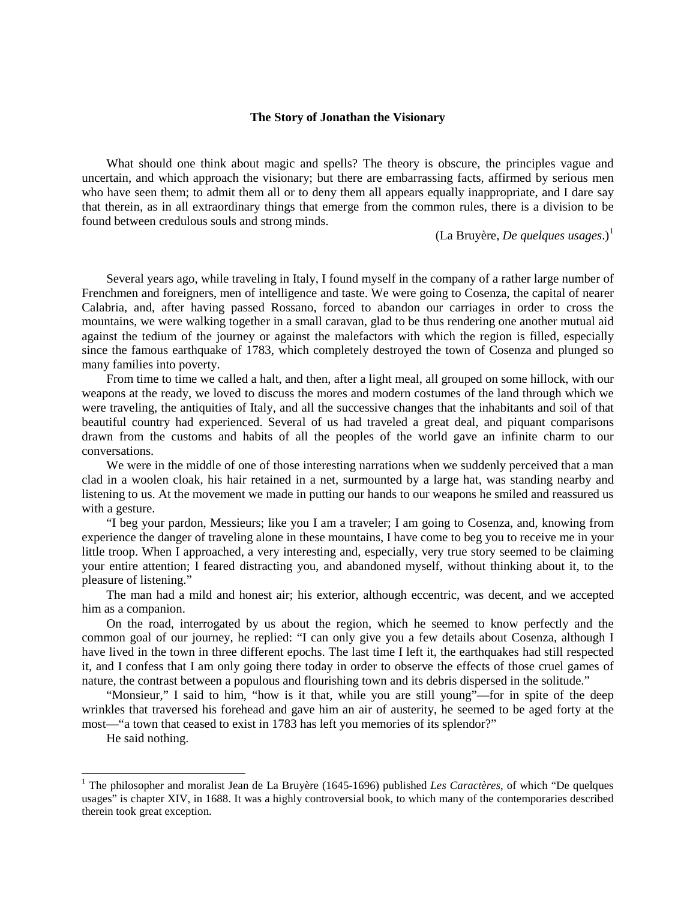## **The Story of Jonathan the Visionary**

What should one think about magic and spells? The theory is obscure, the principles vague and uncertain, and which approach the visionary; but there are embarrassing facts, affirmed by serious men who have seen them; to admit them all or to deny them all appears equally inappropriate, and I dare say that therein, as in all extraordinary things that emerge from the common rules, there is a division to be found between credulous souls and strong minds.

 $(La Bruyère, De quelques usages.)<sup>1</sup>$  $(La Bruyère, De quelques usages.)<sup>1</sup>$  $(La Bruyère, De quelques usages.)<sup>1</sup>$ 

Several years ago, while traveling in Italy, I found myself in the company of a rather large number of Frenchmen and foreigners, men of intelligence and taste. We were going to Cosenza, the capital of nearer Calabria, and, after having passed Rossano, forced to abandon our carriages in order to cross the mountains, we were walking together in a small caravan, glad to be thus rendering one another mutual aid against the tedium of the journey or against the malefactors with which the region is filled, especially since the famous earthquake of 1783, which completely destroyed the town of Cosenza and plunged so many families into poverty.

From time to time we called a halt, and then, after a light meal, all grouped on some hillock, with our weapons at the ready, we loved to discuss the mores and modern costumes of the land through which we were traveling, the antiquities of Italy, and all the successive changes that the inhabitants and soil of that beautiful country had experienced. Several of us had traveled a great deal, and piquant comparisons drawn from the customs and habits of all the peoples of the world gave an infinite charm to our conversations.

We were in the middle of one of those interesting narrations when we suddenly perceived that a man clad in a woolen cloak, his hair retained in a net, surmounted by a large hat, was standing nearby and listening to us. At the movement we made in putting our hands to our weapons he smiled and reassured us with a gesture.

"I beg your pardon, Messieurs; like you I am a traveler; I am going to Cosenza, and, knowing from experience the danger of traveling alone in these mountains, I have come to beg you to receive me in your little troop. When I approached, a very interesting and, especially, very true story seemed to be claiming your entire attention; I feared distracting you, and abandoned myself, without thinking about it, to the pleasure of listening."

The man had a mild and honest air; his exterior, although eccentric, was decent, and we accepted him as a companion.

On the road, interrogated by us about the region, which he seemed to know perfectly and the common goal of our journey, he replied: "I can only give you a few details about Cosenza, although I have lived in the town in three different epochs. The last time I left it, the earthquakes had still respected it, and I confess that I am only going there today in order to observe the effects of those cruel games of nature, the contrast between a populous and flourishing town and its debris dispersed in the solitude."

"Monsieur," I said to him, "how is it that, while you are still young"—for in spite of the deep wrinkles that traversed his forehead and gave him an air of austerity, he seemed to be aged forty at the most—"a town that ceased to exist in 1783 has left you memories of its splendor?"

He said nothing.

<span id="page-0-0"></span><sup>&</sup>lt;sup>1</sup> The philosopher and moralist Jean de La Bruyère (1645-1696) published *Les Caractères*, of which "De quelques usages" is chapter XIV, in 1688. It was a highly controversial book, to which many of the contemporaries described therein took great exception.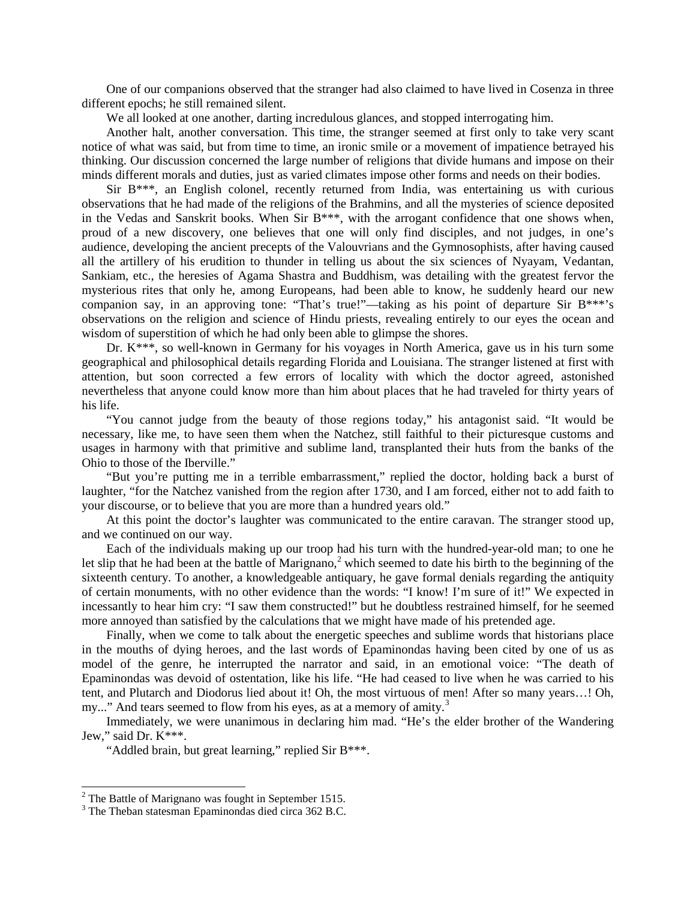One of our companions observed that the stranger had also claimed to have lived in Cosenza in three different epochs; he still remained silent.

We all looked at one another, darting incredulous glances, and stopped interrogating him.

Another halt, another conversation. This time, the stranger seemed at first only to take very scant notice of what was said, but from time to time, an ironic smile or a movement of impatience betrayed his thinking. Our discussion concerned the large number of religions that divide humans and impose on their minds different morals and duties, just as varied climates impose other forms and needs on their bodies.

Sir  $B***$ , an English colonel, recently returned from India, was entertaining us with curious observations that he had made of the religions of the Brahmins, and all the mysteries of science deposited in the Vedas and Sanskrit books. When Sir B\*\*\*, with the arrogant confidence that one shows when, proud of a new discovery, one believes that one will only find disciples, and not judges, in one's audience, developing the ancient precepts of the Valouvrians and the Gymnosophists, after having caused all the artillery of his erudition to thunder in telling us about the six sciences of Nyayam, Vedantan, Sankiam, etc., the heresies of Agama Shastra and Buddhism, was detailing with the greatest fervor the mysterious rites that only he, among Europeans, had been able to know, he suddenly heard our new companion say, in an approving tone: "That's true!"—taking as his point of departure Sir B<sup>\*\*\*</sup>'s observations on the religion and science of Hindu priests, revealing entirely to our eyes the ocean and wisdom of superstition of which he had only been able to glimpse the shores.

Dr. K\*\*\*, so well-known in Germany for his voyages in North America, gave us in his turn some geographical and philosophical details regarding Florida and Louisiana. The stranger listened at first with attention, but soon corrected a few errors of locality with which the doctor agreed, astonished nevertheless that anyone could know more than him about places that he had traveled for thirty years of his life.

"You cannot judge from the beauty of those regions today," his antagonist said. "It would be necessary, like me, to have seen them when the Natchez, still faithful to their picturesque customs and usages in harmony with that primitive and sublime land, transplanted their huts from the banks of the Ohio to those of the Iberville."

"But you're putting me in a terrible embarrassment," replied the doctor, holding back a burst of laughter, "for the Natchez vanished from the region after 1730, and I am forced, either not to add faith to your discourse, or to believe that you are more than a hundred years old."

At this point the doctor's laughter was communicated to the entire caravan. The stranger stood up, and we continued on our way.

Each of the individuals making up our troop had his turn with the hundred-year-old man; to one he let slip that he had been at the battle of Marignano,<sup>[2](#page-1-0)</sup> which seemed to date his birth to the beginning of the sixteenth century. To another, a knowledgeable antiquary, he gave formal denials regarding the antiquity of certain monuments, with no other evidence than the words: "I know! I'm sure of it!" We expected in incessantly to hear him cry: "I saw them constructed!" but he doubtless restrained himself, for he seemed more annoyed than satisfied by the calculations that we might have made of his pretended age.

Finally, when we come to talk about the energetic speeches and sublime words that historians place in the mouths of dying heroes, and the last words of Epaminondas having been cited by one of us as model of the genre, he interrupted the narrator and said, in an emotional voice: "The death of Epaminondas was devoid of ostentation, like his life. "He had ceased to live when he was carried to his tent, and Plutarch and Diodorus lied about it! Oh, the most virtuous of men! After so many years…! Oh, my..." And tears seemed to flow from his eyes, as at a memory of amity.<sup>[3](#page-1-1)</sup>

Immediately, we were unanimous in declaring him mad. "He's the elder brother of the Wandering Jew," said Dr. K\*\*\*.

"Addled brain, but great learning," replied Sir B\*\*\*.

<span id="page-1-0"></span><sup>&</sup>lt;sup>2</sup> The Battle of Marignano was fought in September 1515.<br><sup>3</sup> The Theban statesman Epaminondas died circa 362 B.C.

<span id="page-1-1"></span>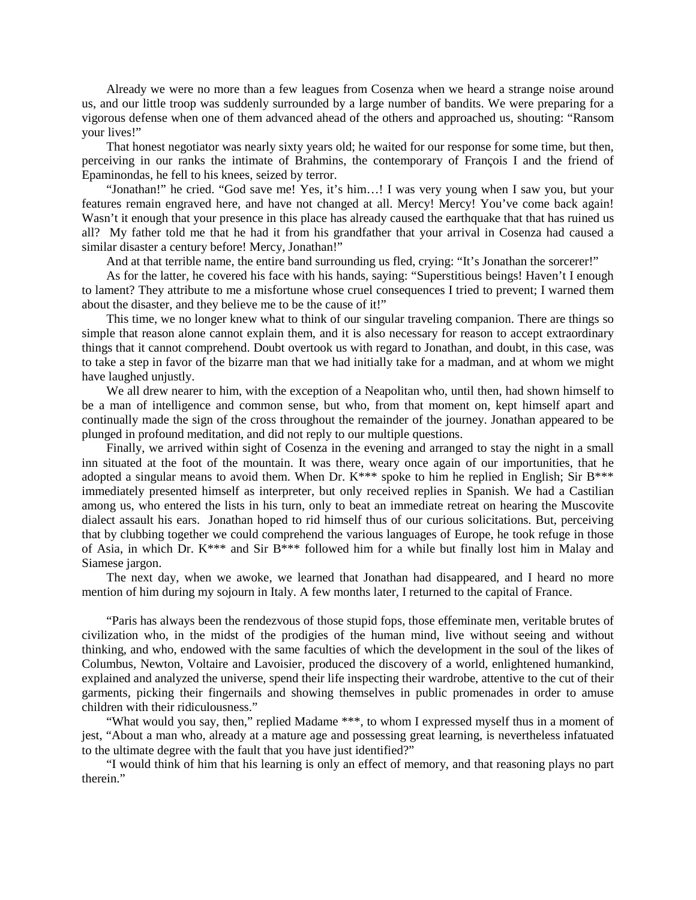Already we were no more than a few leagues from Cosenza when we heard a strange noise around us, and our little troop was suddenly surrounded by a large number of bandits. We were preparing for a vigorous defense when one of them advanced ahead of the others and approached us, shouting: "Ransom your lives!"

That honest negotiator was nearly sixty years old; he waited for our response for some time, but then, perceiving in our ranks the intimate of Brahmins, the contemporary of François I and the friend of Epaminondas, he fell to his knees, seized by terror.

"Jonathan!" he cried. "God save me! Yes, it's him…! I was very young when I saw you, but your features remain engraved here, and have not changed at all. Mercy! Mercy! You've come back again! Wasn't it enough that your presence in this place has already caused the earthquake that that has ruined us all? My father told me that he had it from his grandfather that your arrival in Cosenza had caused a similar disaster a century before! Mercy, Jonathan!"

And at that terrible name, the entire band surrounding us fled, crying: "It's Jonathan the sorcerer!"

As for the latter, he covered his face with his hands, saying: "Superstitious beings! Haven't I enough to lament? They attribute to me a misfortune whose cruel consequences I tried to prevent; I warned them about the disaster, and they believe me to be the cause of it!"

This time, we no longer knew what to think of our singular traveling companion. There are things so simple that reason alone cannot explain them, and it is also necessary for reason to accept extraordinary things that it cannot comprehend. Doubt overtook us with regard to Jonathan, and doubt, in this case, was to take a step in favor of the bizarre man that we had initially take for a madman, and at whom we might have laughed unjustly.

We all drew nearer to him, with the exception of a Neapolitan who, until then, had shown himself to be a man of intelligence and common sense, but who, from that moment on, kept himself apart and continually made the sign of the cross throughout the remainder of the journey. Jonathan appeared to be plunged in profound meditation, and did not reply to our multiple questions.

Finally, we arrived within sight of Cosenza in the evening and arranged to stay the night in a small inn situated at the foot of the mountain. It was there, weary once again of our importunities, that he adopted a singular means to avoid them. When Dr. K<sup>\*\*\*</sup> spoke to him he replied in English; Sir B<sup>\*\*\*</sup> immediately presented himself as interpreter, but only received replies in Spanish. We had a Castilian among us, who entered the lists in his turn, only to beat an immediate retreat on hearing the Muscovite dialect assault his ears. Jonathan hoped to rid himself thus of our curious solicitations. But, perceiving that by clubbing together we could comprehend the various languages of Europe, he took refuge in those of Asia, in which Dr.  $K^{***}$  and Sir B\*\*\* followed him for a while but finally lost him in Malay and Siamese jargon.

The next day, when we awoke, we learned that Jonathan had disappeared, and I heard no more mention of him during my sojourn in Italy. A few months later, I returned to the capital of France.

"Paris has always been the rendezvous of those stupid fops, those effeminate men, veritable brutes of civilization who, in the midst of the prodigies of the human mind, live without seeing and without thinking, and who, endowed with the same faculties of which the development in the soul of the likes of Columbus, Newton, Voltaire and Lavoisier, produced the discovery of a world, enlightened humankind, explained and analyzed the universe, spend their life inspecting their wardrobe, attentive to the cut of their garments, picking their fingernails and showing themselves in public promenades in order to amuse children with their ridiculousness."

"What would you say, then," replied Madame \*\*\*, to whom I expressed myself thus in a moment of jest, "About a man who, already at a mature age and possessing great learning, is nevertheless infatuated to the ultimate degree with the fault that you have just identified?"

"I would think of him that his learning is only an effect of memory, and that reasoning plays no part therein."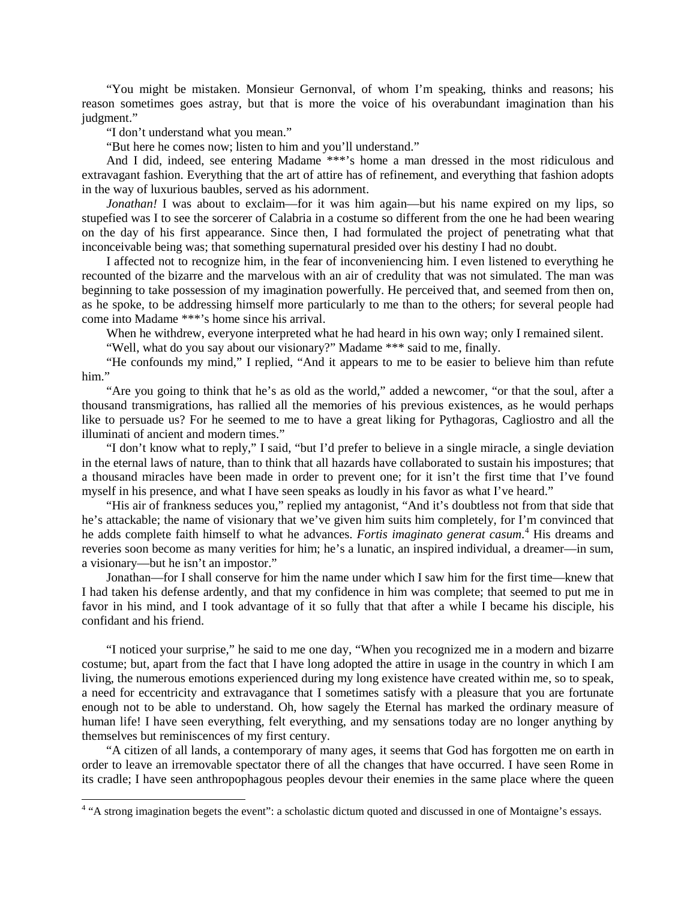"You might be mistaken. Monsieur Gernonval, of whom I'm speaking, thinks and reasons; his reason sometimes goes astray, but that is more the voice of his overabundant imagination than his judgment."

"I don't understand what you mean."

"But here he comes now; listen to him and you'll understand."

And I did, indeed, see entering Madame \*\*\*'s home a man dressed in the most ridiculous and extravagant fashion. Everything that the art of attire has of refinement, and everything that fashion adopts in the way of luxurious baubles, served as his adornment.

*Jonathan!* I was about to exclaim—for it was him again—but his name expired on my lips, so stupefied was I to see the sorcerer of Calabria in a costume so different from the one he had been wearing on the day of his first appearance. Since then, I had formulated the project of penetrating what that inconceivable being was; that something supernatural presided over his destiny I had no doubt.

I affected not to recognize him, in the fear of inconveniencing him. I even listened to everything he recounted of the bizarre and the marvelous with an air of credulity that was not simulated. The man was beginning to take possession of my imagination powerfully. He perceived that, and seemed from then on, as he spoke, to be addressing himself more particularly to me than to the others; for several people had come into Madame \*\*\*'s home since his arrival.

When he withdrew, everyone interpreted what he had heard in his own way; only I remained silent.

"Well, what do you say about our visionary?" Madame \*\*\* said to me, finally.

"He confounds my mind," I replied, "And it appears to me to be easier to believe him than refute him."

"Are you going to think that he's as old as the world," added a newcomer, "or that the soul, after a thousand transmigrations, has rallied all the memories of his previous existences, as he would perhaps like to persuade us? For he seemed to me to have a great liking for Pythagoras, Cagliostro and all the illuminati of ancient and modern times."

"I don't know what to reply," I said, "but I'd prefer to believe in a single miracle, a single deviation in the eternal laws of nature, than to think that all hazards have collaborated to sustain his impostures; that a thousand miracles have been made in order to prevent one; for it isn't the first time that I've found myself in his presence, and what I have seen speaks as loudly in his favor as what I've heard."

"His air of frankness seduces you," replied my antagonist, "And it's doubtless not from that side that he's attackable; the name of visionary that we've given him suits him completely, for I'm convinced that he adds complete faith himself to what he advances. *Fortis imaginato generat casum*. [4](#page-3-0) His dreams and reveries soon become as many verities for him; he's a lunatic, an inspired individual, a dreamer—in sum, a visionary—but he isn't an impostor."

Jonathan—for I shall conserve for him the name under which I saw him for the first time—knew that I had taken his defense ardently, and that my confidence in him was complete; that seemed to put me in favor in his mind, and I took advantage of it so fully that that after a while I became his disciple, his confidant and his friend.

"I noticed your surprise," he said to me one day, "When you recognized me in a modern and bizarre costume; but, apart from the fact that I have long adopted the attire in usage in the country in which I am living, the numerous emotions experienced during my long existence have created within me, so to speak, a need for eccentricity and extravagance that I sometimes satisfy with a pleasure that you are fortunate enough not to be able to understand. Oh, how sagely the Eternal has marked the ordinary measure of human life! I have seen everything, felt everything, and my sensations today are no longer anything by themselves but reminiscences of my first century.

"A citizen of all lands, a contemporary of many ages, it seems that God has forgotten me on earth in order to leave an irremovable spectator there of all the changes that have occurred. I have seen Rome in its cradle; I have seen anthropophagous peoples devour their enemies in the same place where the queen

<span id="page-3-0"></span><sup>&</sup>lt;sup>4</sup> "A strong imagination begets the event": a scholastic dictum quoted and discussed in one of Montaigne's essays.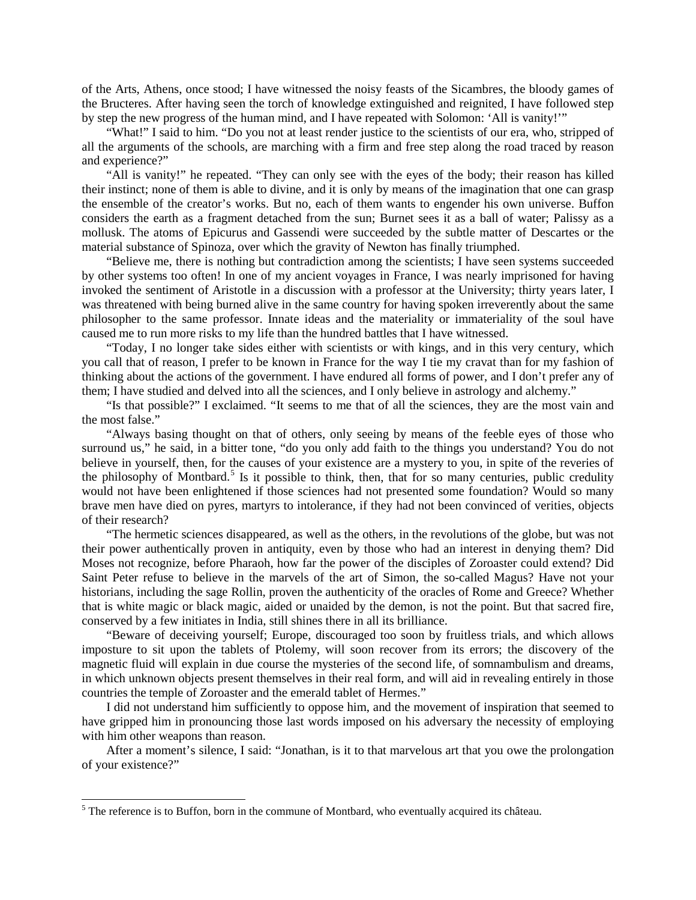of the Arts, Athens, once stood; I have witnessed the noisy feasts of the Sicambres, the bloody games of the Bructeres. After having seen the torch of knowledge extinguished and reignited, I have followed step by step the new progress of the human mind, and I have repeated with Solomon: 'All is vanity!'"

"What!" I said to him. "Do you not at least render justice to the scientists of our era, who, stripped of all the arguments of the schools, are marching with a firm and free step along the road traced by reason and experience?"

"All is vanity!" he repeated. "They can only see with the eyes of the body; their reason has killed their instinct; none of them is able to divine, and it is only by means of the imagination that one can grasp the ensemble of the creator's works. But no, each of them wants to engender his own universe. Buffon considers the earth as a fragment detached from the sun; Burnet sees it as a ball of water; Palissy as a mollusk. The atoms of Epicurus and Gassendi were succeeded by the subtle matter of Descartes or the material substance of Spinoza, over which the gravity of Newton has finally triumphed.

"Believe me, there is nothing but contradiction among the scientists; I have seen systems succeeded by other systems too often! In one of my ancient voyages in France, I was nearly imprisoned for having invoked the sentiment of Aristotle in a discussion with a professor at the University; thirty years later, I was threatened with being burned alive in the same country for having spoken irreverently about the same philosopher to the same professor. Innate ideas and the materiality or immateriality of the soul have caused me to run more risks to my life than the hundred battles that I have witnessed.

"Today, I no longer take sides either with scientists or with kings, and in this very century, which you call that of reason, I prefer to be known in France for the way I tie my cravat than for my fashion of thinking about the actions of the government. I have endured all forms of power, and I don't prefer any of them; I have studied and delved into all the sciences, and I only believe in astrology and alchemy."

"Is that possible?" I exclaimed. "It seems to me that of all the sciences, they are the most vain and the most false."

"Always basing thought on that of others, only seeing by means of the feeble eyes of those who surround us," he said, in a bitter tone, "do you only add faith to the things you understand? You do not believe in yourself, then, for the causes of your existence are a mystery to you, in spite of the reveries of the philosophy of Montbard.<sup>[5](#page-4-0)</sup> Is it possible to think, then, that for so many centuries, public credulity would not have been enlightened if those sciences had not presented some foundation? Would so many brave men have died on pyres, martyrs to intolerance, if they had not been convinced of verities, objects of their research?

"The hermetic sciences disappeared, as well as the others, in the revolutions of the globe, but was not their power authentically proven in antiquity, even by those who had an interest in denying them? Did Moses not recognize, before Pharaoh, how far the power of the disciples of Zoroaster could extend? Did Saint Peter refuse to believe in the marvels of the art of Simon, the so-called Magus? Have not your historians, including the sage Rollin, proven the authenticity of the oracles of Rome and Greece? Whether that is white magic or black magic, aided or unaided by the demon, is not the point. But that sacred fire, conserved by a few initiates in India, still shines there in all its brilliance.

"Beware of deceiving yourself; Europe, discouraged too soon by fruitless trials, and which allows imposture to sit upon the tablets of Ptolemy, will soon recover from its errors; the discovery of the magnetic fluid will explain in due course the mysteries of the second life, of somnambulism and dreams, in which unknown objects present themselves in their real form, and will aid in revealing entirely in those countries the temple of Zoroaster and the emerald tablet of Hermes."

I did not understand him sufficiently to oppose him, and the movement of inspiration that seemed to have gripped him in pronouncing those last words imposed on his adversary the necessity of employing with him other weapons than reason.

After a moment's silence, I said: "Jonathan, is it to that marvelous art that you owe the prolongation of your existence?"

<span id="page-4-0"></span> $5$  The reference is to Buffon, born in the commune of Montbard, who eventually acquired its château.